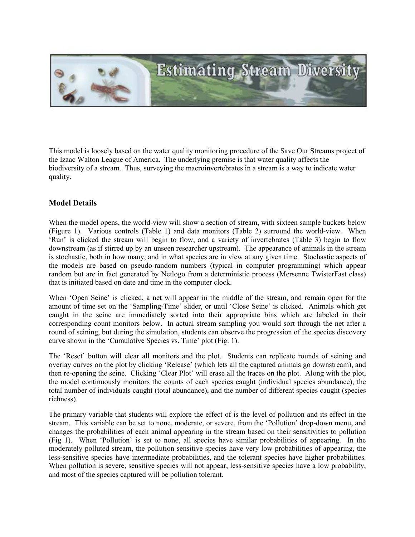

This model is loosely based on the water quality monitoring procedure of the Save Our Streams project of the Izaac Walton League of America. The underlying premise is that water quality affects the biodiversity of a stream. Thus, surveying the macroinvertebrates in a stream is a way to indicate water quality.

## Model Details

When the model opens, the world-view will show a section of stream, with sixteen sample buckets below (Figure 1). Various controls (Table 1) and data monitors (Table 2) surround the world-view. When 'Run' is clicked the stream will begin to flow, and a variety of invertebrates (Table 3) begin to flow downstream (as if stirred up by an unseen researcher upstream). The appearance of animals in the stream is stochastic, both in how many, and in what species are in view at any given time. Stochastic aspects of the models are based on pseudo-random numbers (typical in computer programming) which appear random but are in fact generated by Netlogo from a deterministic process (Mersenne TwisterFast class) that is initiated based on date and time in the computer clock.

When 'Open Seine' is clicked, a net will appear in the middle of the stream, and remain open for the amount of time set on the 'Sampling-Time' slider, or until 'Close Seine' is clicked. Animals which get caught in the seine are immediately sorted into their appropriate bins which are labeled in their corresponding count monitors below. In actual stream sampling you would sort through the net after a round of seining, but during the simulation, students can observe the progression of the species discovery curve shown in the 'Cumulative Species vs. Time' plot (Fig. 1).

The 'Reset' button will clear all monitors and the plot. Students can replicate rounds of seining and overlay curves on the plot by clicking 'Release' (which lets all the captured animals go downstream), and then re-opening the seine. Clicking 'Clear Plot' will erase all the traces on the plot. Along with the plot, the model continuously monitors the counts of each species caught (individual species abundance), the total number of individuals caught (total abundance), and the number of different species caught (species richness).

The primary variable that students will explore the effect of is the level of pollution and its effect in the stream. This variable can be set to none, moderate, or severe, from the 'Pollution' drop-down menu, and changes the probabilities of each animal appearing in the stream based on their sensitivities to pollution (Fig 1). When 'Pollution' is set to none, all species have similar probabilities of appearing. In the moderately polluted stream, the pollution sensitive species have very low probabilities of appearing, the less-sensitive species have intermediate probabilities, and the tolerant species have higher probabilities. When pollution is severe, sensitive species will not appear, less-sensitive species have a low probability, and most of the species captured will be pollution tolerant.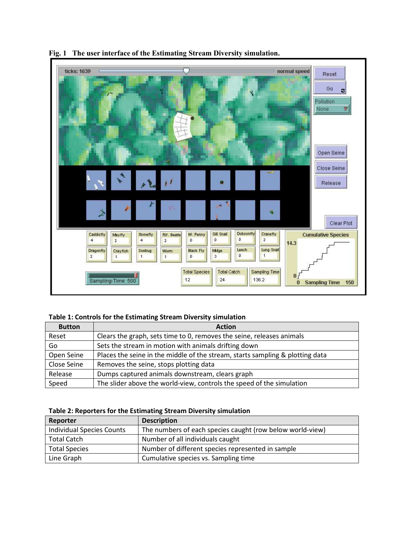

## Fig. 1 The user interface of the Estimating Stream Diversity simulation.

#### Table 1: Controls for the Estimating Stream Diversity simulation

| <b>Button</b> | <b>Action</b>                                                                 |
|---------------|-------------------------------------------------------------------------------|
| Reset         | Clears the graph, sets time to 0, removes the seine, releases animals         |
| Go            | Sets the stream in motion with animals drifting down                          |
| Open Seine    | Places the seine in the middle of the stream, starts sampling & plotting data |
| Close Seine   | Removes the seine, stops plotting data                                        |
| Release       | Dumps captured animals downstream, clears graph                               |
| Speed         | The slider above the world-view, controls the speed of the simulation         |

### Table 2: Reporters for the Estimating Stream Diversity simulation

| Reporter                         | <b>Description</b>                                        |
|----------------------------------|-----------------------------------------------------------|
| <b>Individual Species Counts</b> | The numbers of each species caught (row below world-view) |
| Total Catch                      | Number of all individuals caught                          |
| <b>Total Species</b>             | Number of different species represented in sample         |
| Line Graph                       | Cumulative species vs. Sampling time                      |